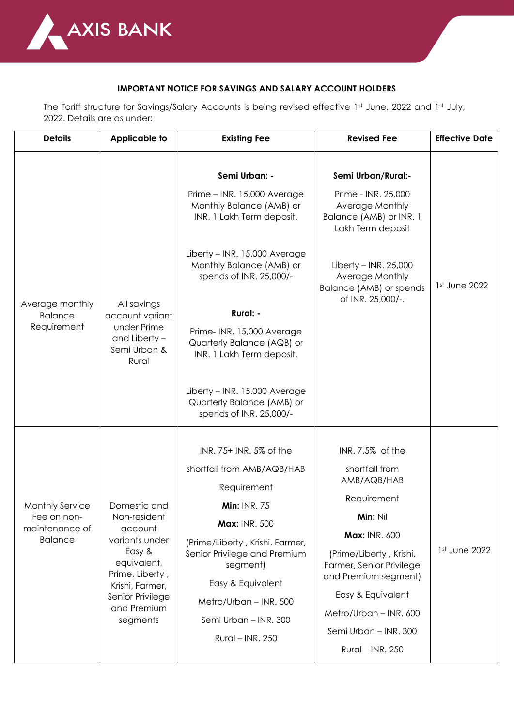

## **IMPORTANT NOTICE FOR SAVINGS AND SALARY ACCOUNT HOLDERS**

The Tariff structure for Savings/Salary Accounts is being revised effective 1st June, 2022 and 1st July, 2022. Details are as under:

| <b>Details</b>                                                            | <b>Applicable to</b>                                                                                                                                                    | <b>Existing Fee</b>                                                                                                                                                                                                                                                                                                                                                                          | <b>Revised Fee</b>                                                                                                                                                                                                                                                                     | <b>Effective Date</b> |
|---------------------------------------------------------------------------|-------------------------------------------------------------------------------------------------------------------------------------------------------------------------|----------------------------------------------------------------------------------------------------------------------------------------------------------------------------------------------------------------------------------------------------------------------------------------------------------------------------------------------------------------------------------------------|----------------------------------------------------------------------------------------------------------------------------------------------------------------------------------------------------------------------------------------------------------------------------------------|-----------------------|
| Average monthly<br><b>Balance</b><br>Requirement                          | All savings<br>account variant<br>under Prime<br>and Liberty -<br>Semi Urban &<br>Rural                                                                                 | Semi Urban: -<br>Prime - INR. 15,000 Average<br>Monthly Balance (AMB) or<br>INR. 1 Lakh Term deposit.<br>Liberty - INR. 15,000 Average<br>Monthly Balance (AMB) or<br>spends of INR. 25,000/-<br>Rural: -<br>Prime- INR. 15,000 Average<br>Quarterly Balance (AQB) or<br>INR. 1 Lakh Term deposit.<br>Liberty - INR. 15,000 Average<br>Quarterly Balance (AMB) or<br>spends of INR. 25,000/- | Semi Urban/Rural:-<br>Prime - INR. 25,000<br>Average Monthly<br>Balance (AMB) or INR. 1<br>Lakh Term deposit<br>Liberty – INR. $25,000$<br>Average Monthly<br>Balance (AMB) or spends<br>of INR. 25,000/-.                                                                             | 1st June 2022         |
| <b>Monthly Service</b><br>Fee on non-<br>maintenance of<br><b>Balance</b> | Domestic and<br>Non-resident<br>account<br>variants under<br>Easy &<br>equivalent,<br>Prime, Liberty,<br>Krishi, Farmer,<br>Senior Privilege<br>and Premium<br>segments | INR. 75+ INR. 5% of the<br>shortfall from AMB/AQB/HAB<br>Requirement<br><b>Min: INR. 75</b><br>Max: INR. 500<br>(Prime/Liberty, Krishi, Farmer,<br>Senior Privilege and Premium<br>segment)<br>Easy & Equivalent<br>Metro/Urban - INR. 500<br>Semi Urban - INR, 300<br>Rural - INR. 250                                                                                                      | INR. 7.5% of the<br>shortfall from<br>AMB/AQB/HAB<br>Requirement<br><b>Min: Nil</b><br><b>Max: INR. 600</b><br>(Prime/Liberty, Krishi,<br>Farmer, Senior Privilege<br>and Premium segment)<br>Easy & Equivalent<br>Metro/Urban - INR. 600<br>Semi Urban - INR. 300<br>Rural - INR. 250 | 1st June 2022         |